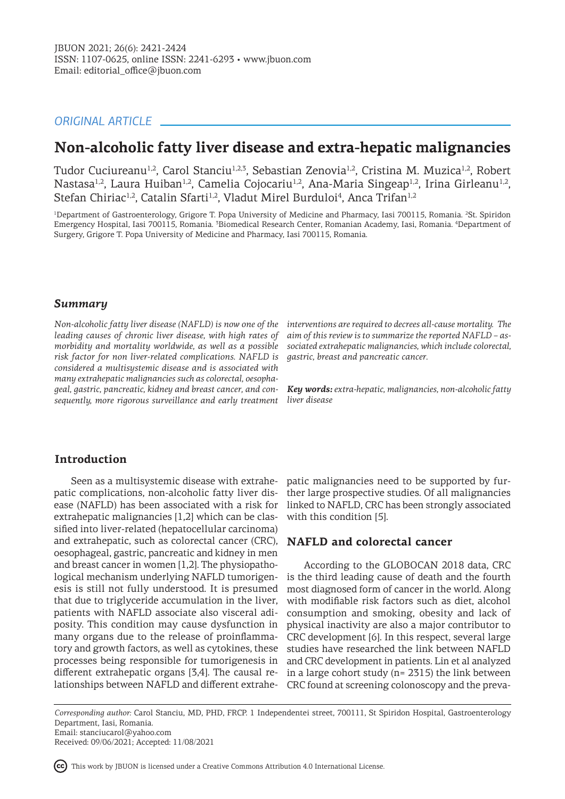## *ORIGINAL ARTICLE*

# **Non-alcoholic fatty liver disease and extra-hepatic malignancies**

Tudor Cuciureanu<sup>1,2</sup>, Carol Stanciu<sup>1,2,3</sup>, Sebastian Zenovia<sup>1,2</sup>, Cristina M. Muzica<sup>1,2</sup>, Robert Nastasa<sup>1,2</sup>, Laura Huiban<sup>1,2</sup>, Camelia Cojocariu<sup>1,2</sup>, Ana-Maria Singeap<sup>1,2</sup>, Irina Girleanu<sup>1,2</sup>, Stefan Chiriac<sup>1,2</sup>, Catalin Sfarti<sup>1,2</sup>, Vladut Mirel Burduloi<sup>4</sup>, Anca Trifan<sup>1,2</sup>

<sup>1</sup>Department of Gastroenterology, Grigore T. Popa University of Medicine and Pharmacy, Iasi 700115, Romania. <sup>2</sup>St. Spiridon Emergency Hospital, Iasi 700115, Romania. <sup>3</sup>Biomedical Research Center, Romanian Academy, Iasi, Romania. <sup>4</sup>Department of Surgery, Grigore T. Popa University of Medicine and Pharmacy, Iasi 700115, Romania.

### *Summary*

*Non-alcoholic fatty liver disease (NAFLD) is now one of the leading causes of chronic liver disease, with high rates of morbidity and mortality worldwide, as well as a possible risk factor for non liver-related complications. NAFLD is considered a multisystemic disease and is associated with many extrahepatic malignancies such as colorectal, oesophageal, gastric, pancreatic, kidney and breast cancer, and consequently, more rigorous surveillance and early treatment* 

*interventions are required to decrees all-cause mortality. The aim of this review is to summarize the reported NAFLD – associated extrahepatic malignancies, which include colorectal, gastric, breast and pancreatic cancer.* 

*Key words: extra-hepatic, malignancies, non-alcoholic fatty liver disease*

## **Introduction**

Seen as a multisystemic disease with extrahepatic complications, non-alcoholic fatty liver disease (NAFLD) has been associated with a risk for extrahepatic malignancies [1,2] which can be classified into liver-related (hepatocellular carcinoma) and extrahepatic, such as colorectal cancer (CRC), oesophageal, gastric, pancreatic and kidney in men and breast cancer in women [1,2]. The physiopathological mechanism underlying NAFLD tumorigenesis is still not fully understood. It is presumed that due to triglyceride accumulation in the liver, patients with NAFLD associate also visceral adiposity. This condition may cause dysfunction in many organs due to the release of proinflammatory and growth factors, as well as cytokines, these processes being responsible for tumorigenesis in different extrahepatic organs [3,4]. The causal relationships between NAFLD and different extrahe-

patic malignancies need to be supported by further large prospective studies. Of all malignancies linked to NAFLD, CRC has been strongly associated with this condition [5].

## **NAFLD and colorectal cancer**

According to the GLOBOCAN 2018 data, CRC is the third leading cause of death and the fourth most diagnosed form of cancer in the world. Along with modifiable risk factors such as diet, alcohol consumption and smoking, obesity and lack of physical inactivity are also a major contributor to CRC development [6]. In this respect, several large studies have researched the link between NAFLD and CRC development in patients. Lin et al analyzed in a large cohort study ( $n= 2315$ ) the link between CRC found at screening colonoscopy and the preva-

*Corresponding author:* Carol Stanciu, MD, PHD, FRCP. 1 Independentei street, 700111, St Spiridon Hospital, Gastroenterology Department, Iasi, Romania. Email: stanciucarol@yahoo.com

Received: 09/06/2021; Accepted: 11/08/2021

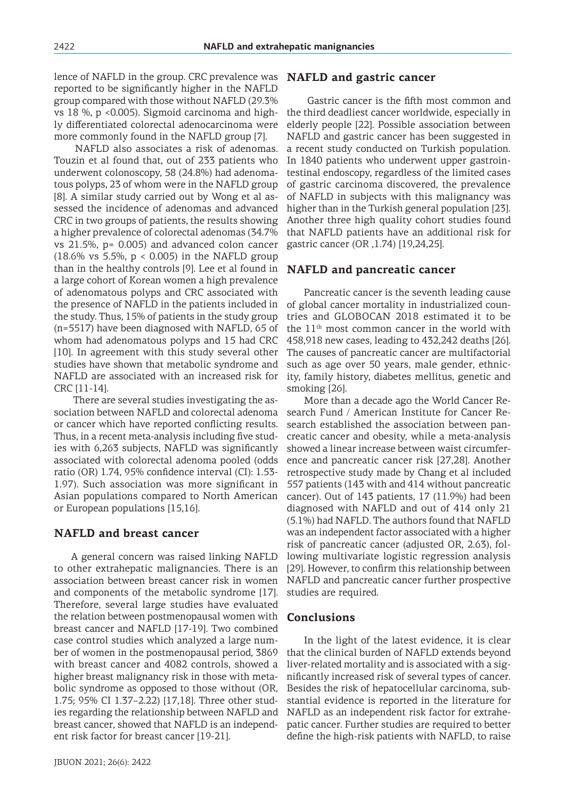lence of NAFLD in the group. CRC prevalence was reported to be significantly higher in the NAFLD group compared with those without NAFLD (29.3% vs 18 %, p <0.005). Sigmoid carcinoma and highly differentiated colorectal adenocarcinoma were more commonly found in the NAFLD group [7].

 NAFLD also associates a risk of adenomas. Touzin et al found that, out of 233 patients who underwent colonoscopy, 58 (24.8%) had adenomatous polyps, 23 of whom were in the NAFLD group [8]. A similar study carried out by Wong et al assessed the incidence of adenomas and advanced CRC in two groups of patients, the results showing a higher prevalence of colorectal adenomas (34.7% vs 21.5%, p= 0.005) and advanced colon cancer (18.6% vs 5.5%, p < 0.005) in the NAFLD group than in the healthy controls [9]. Lee et al found in a large cohort of Korean women a high prevalence of adenomatous polyps and CRC associated with the presence of NAFLD in the patients included in the study. Thus, 15% of patients in the study group (n=5517) have been diagnosed with NAFLD, 65 of whom had adenomatous polyps and 15 had CRC [10]. In agreement with this study several other studies have shown that metabolic syndrome and NAFLD are associated with an increased risk for CRC [11-14].

 There are several studies investigating the association between NAFLD and colorectal adenoma or cancer which have reported conflicting results. Thus, in a recent meta-analysis including five studies with 6,263 subjects, NAFLD was significantly associated with colorectal adenoma pooled (odds ratio (OR) 1.74, 95% confidence interval (CI): 1.53- 1.97). Such association was more significant in Asian populations compared to North American or European populations [15,16].

#### **NAFLD and breast cancer**

A general concern was raised linking NAFLD to other extrahepatic malignancies. There is an association between breast cancer risk in women and components of the metabolic syndrome [17]. Therefore, several large studies have evaluated the relation between postmenopausal women with breast cancer and NAFLD [17-19]. Two combined case control studies which analyzed a large number of women in the postmenopausal period, 3869 with breast cancer and 4082 controls, showed a higher breast malignancy risk in those with metabolic syndrome as opposed to those without (OR, 1.75; 95% CI 1.37–2.22) [17,18]. Three other studies regarding the relationship between NAFLD and breast cancer, showed that NAFLD is an independent risk factor for breast cancer [19-21].

#### **NAFLD and gastric cancer**

 Gastric cancer is the fifth most common and the third deadliest cancer worldwide, especially in elderly people [22]. Possible association between NAFLD and gastric cancer has been suggested in a recent study conducted on Turkish population. In 1840 patients who underwent upper gastrointestinal endoscopy, regardless of the limited cases of gastric carcinoma discovered, the prevalence of NAFLD in subjects with this malignancy was higher than in the Turkish general population [23]. Another three high quality cohort studies found that NAFLD patients have an additional risk for gastric cancer (OR ,1.74) [19,24,25].

#### **NAFLD and pancreatic cancer**

Pancreatic cancer is the seventh leading cause of global cancer mortality in industrialized countries and GLOBOCAN 2018 estimated it to be the 11th most common cancer in the world with 458,918 new cases, leading to 432,242 deaths [26]. The causes of pancreatic cancer are multifactorial such as age over 50 years, male gender, ethnicity, family history, diabetes mellitus, genetic and smoking [26].

More than a decade ago the World Cancer Research Fund / American Institute for Cancer Research established the association between pancreatic cancer and obesity, while a meta-analysis showed a linear increase between waist circumference and pancreatic cancer risk [27,28]. Another retrospective study made by Chang et al included 557 patients (143 with and 414 without pancreatic cancer). Out of 143 patients, 17 (11.9%) had been diagnosed with NAFLD and out of 414 only 21 (5.1%) had NAFLD. The authors found that NAFLD was an independent factor associated with a higher risk of pancreatic cancer (adjusted OR, 2.63), following multivariate logistic regression analysis [29]. However, to confirm this relationship between NAFLD and pancreatic cancer further prospective studies are required.

#### **Conclusions**

In the light of the latest evidence, it is clear that the clinical burden of NAFLD extends beyond liver-related mortality and is associated with a significantly increased risk of several types of cancer. Besides the risk of hepatocellular carcinoma, substantial evidence is reported in the literature for NAFLD as an independent risk factor for extrahepatic cancer. Further studies are required to better define the high-risk patients with NAFLD, to raise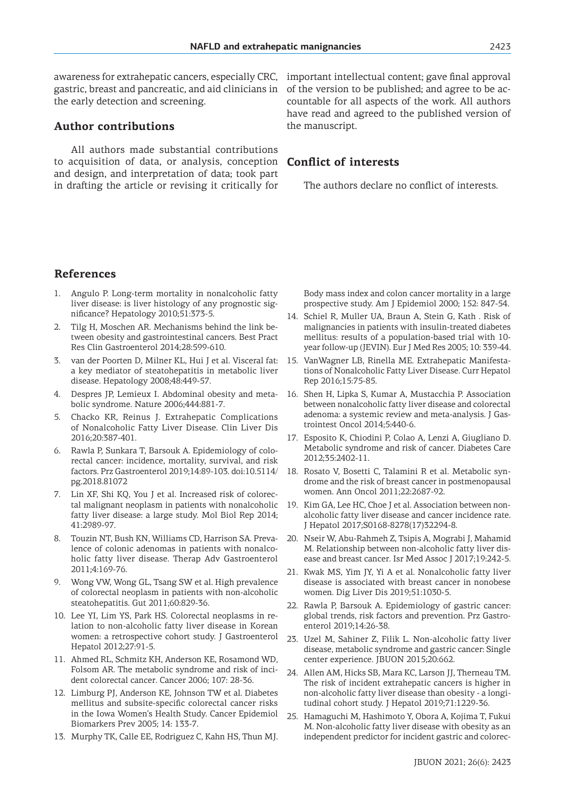awareness for extrahepatic cancers, especially CRC, gastric, breast and pancreatic, and aid clinicians in of the version to be published; and agree to be acthe early detection and screening.

#### **Author contributions**

All authors made substantial contributions to acquisition of data, or analysis, conception and design, and interpretation of data; took part in drafting the article or revising it critically for

important intellectual content; gave final approval countable for all aspects of the work. All authors have read and agreed to the published version of the manuscript.

#### **Conflict of interests**

The authors declare no conflict of interests.

## **References**

- 1. Angulo P. Long-term mortality in nonalcoholic fatty liver disease: is liver histology of any prognostic significance? Hepatology 2010;51:373-5.
- Tilg H, Moschen AR. Mechanisms behind the link between obesity and gastrointestinal cancers. Best Pract Res Clin Gastroenterol 2014;28:599-610.
- 3. van der Poorten D, Milner KL, Hui J et al. Visceral fat: a key mediator of steatohepatitis in metabolic liver disease. Hepatology 2008;48:449-57.
- 4. Despres JP, Lemieux I. Abdominal obesity and metabolic syndrome. Nature 2006;444:881-7.
- 5. Chacko KR, Reinus J. Extrahepatic Complications of Nonalcoholic Fatty Liver Disease. Clin Liver Dis 2016;20:387-401.
- 6. Rawla P, Sunkara T, Barsouk A. Epidemiology of colorectal cancer: incidence, mortality, survival, and risk factors. Prz Gastroenterol 2019;14:89-103. doi:10.5114/ pg.2018.81072
- 7. Lin XF, Shi KQ, You J et al. Increased risk of colorectal malignant neoplasm in patients with nonalcoholic fatty liver disease: a large study. Mol Biol Rep 2014; 41:2989-97.
- 8. Touzin NT, Bush KN, Williams CD, Harrison SA. Prevalence of colonic adenomas in patients with nonalcoholic fatty liver disease. Therap Adv Gastroenterol 2011;4:169-76.
- 9. Wong VW, Wong GL, Tsang SW et al. High prevalence of colorectal neoplasm in patients with non-alcoholic steatohepatitis. Gut 2011;60:829-36.
- 10. Lee YI, Lim YS, Park HS. Colorectal neoplasms in relation to non-alcoholic fatty liver disease in Korean women: a retrospective cohort study. J Gastroenterol Hepatol 2012;27:91-5.
- 11. Ahmed RL, Schmitz KH, Anderson KE, Rosamond WD, Folsom AR. The metabolic syndrome and risk of incident colorectal cancer. Cancer 2006; 107: 28-36.
- 12. Limburg PJ, Anderson KE, Johnson TW et al. Diabetes mellitus and subsite-specific colorectal cancer risks in the Iowa Women's Health Study. Cancer Epidemiol Biomarkers Prev 2005; 14: 133-7.
- 13. Murphy TK, Calle EE, Rodriguez C, Kahn HS, Thun MJ.

Body mass index and colon cancer mortality in a large prospective study. Am J Epidemiol 2000; 152: 847-54.

- 14. Schiel R, Muller UA, Braun A, Stein G, Kath . Risk of malignancies in patients with insulin-treated diabetes mellitus: results of a population-based trial with 10 year follow-up (JEVIN). Eur J Med Res 2005; 10: 339-44.
- 15. VanWagner LB, Rinella ME. Extrahepatic Manifestations of Nonalcoholic Fatty Liver Disease. Curr Hepatol Rep 2016;15:75-85.
- 16. Shen H, Lipka S, Kumar A, Mustacchia P. Association between nonalcoholic fatty liver disease and colorectal adenoma: a systemic review and meta-analysis. J Gastrointest Oncol 2014;5:440-6.
- 17. Esposito K, Chiodini P, Colao A, Lenzi A, Giugliano D. Metabolic syndrome and risk of cancer. Diabetes Care 2012;35:2402-11.
- 18. Rosato V, Bosetti C, Talamini R et al. Metabolic syndrome and the risk of breast cancer in postmenopausal women. Ann Oncol 2011;22:2687-92.
- 19. Kim GA, Lee HC, Choe J et al. Association between nonalcoholic fatty liver disease and cancer incidence rate. J Hepatol 2017;S0168-8278(17)32294-8.
- 20. Nseir W, Abu-Rahmeh Z, Tsipis A, Mograbi J, Mahamid M. Relationship between non-alcoholic fatty liver disease and breast cancer. Isr Med Assoc J 2017;19:242-5.
- 21. Kwak MS, Yim JY, Yi A et al. Nonalcoholic fatty liver disease is associated with breast cancer in nonobese women. Dig Liver Dis 2019;51:1030-5.
- 22. Rawla P, Barsouk A. Epidemiology of gastric cancer: global trends, risk factors and prevention. Prz Gastroenterol 2019;14:26-38.
- 23. Uzel M, Sahiner Z, Filik L. Non-alcoholic fatty liver disease, metabolic syndrome and gastric cancer: Single center experience. JBUON 2015;20:662.
- 24. Allen AM, Hicks SB, Mara KC, Larson JJ, Therneau TM. The risk of incident extrahepatic cancers is higher in non-alcoholic fatty liver disease than obesity - a longitudinal cohort study. J Hepatol 2019;71:1229-36.
- 25. Hamaguchi M, Hashimoto Y, Obora A, Kojima T, Fukui M. Non-alcoholic fatty liver disease with obesity as an independent predictor for incident gastric and colorec-